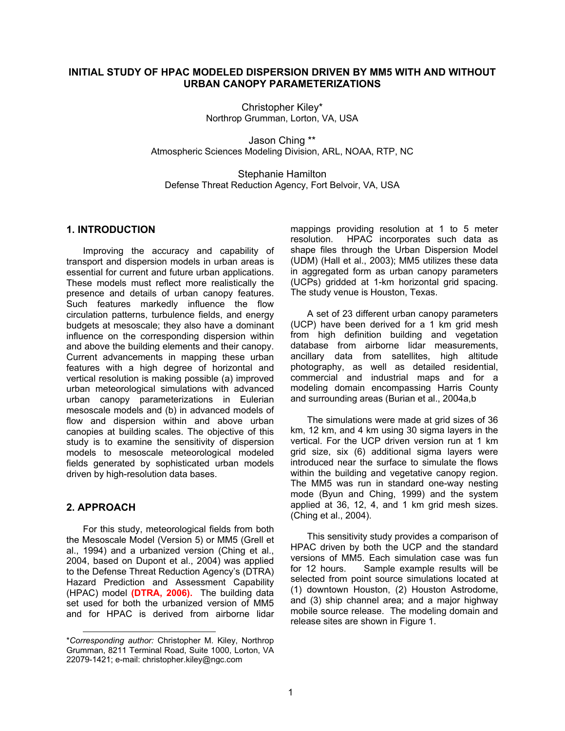# **INITIAL STUDY OF HPAC MODELED DISPERSION DRIVEN BY MM5 WITH AND WITHOUT URBAN CANOPY PARAMETERIZATIONS**

Christopher Kiley\* Northrop Grumman, Lorton, VA, USA

Jason Ching \*\* Atmospheric Sciences Modeling Division, ARL, NOAA, RTP, NC

Stephanie Hamilton Defense Threat Reduction Agency, Fort Belvoir, VA, USA

### **1. INTRODUCTION**

Improving the accuracy and capability of transport and dispersion models in urban areas is essential for current and future urban applications. These models must reflect more realistically the presence and details of urban canopy features. Such features markedly influence the flow circulation patterns, turbulence fields, and energy budgets at mesoscale; they also have a dominant influence on the corresponding dispersion within and above the building elements and their canopy. Current advancements in mapping these urban features with a high degree of horizontal and vertical resolution is making possible (a) improved urban meteorological simulations with advanced urban canopy parameterizations in Eulerian mesoscale models and (b) in advanced models of flow and dispersion within and above urban canopies at building scales. The objective of this study is to examine the sensitivity of dispersion models to mesoscale meteorological modeled fields generated by sophisticated urban models driven by high-resolution data bases.

## **2. APPROACH**

l

For this study, meteorological fields from both the Mesoscale Model (Version 5) or MM5 (Grell et al., 1994) and a urbanized version (Ching et al., 2004, based on Dupont et al., 2004) was applied to the Defense Threat Reduction Agency's (DTRA) Hazard Prediction and Assessment Capability (HPAC) model **(DTRA, 2006).** The building data set used for both the urbanized version of MM5 and for HPAC is derived from airborne lidar

mappings providing resolution at 1 to 5 meter resolution. HPAC incorporates such data as shape files through the Urban Dispersion Model (UDM) (Hall et al., 2003); MM5 utilizes these data in aggregated form as urban canopy parameters (UCPs) gridded at 1-km horizontal grid spacing. The study venue is Houston, Texas.

A set of 23 different urban canopy parameters (UCP) have been derived for a 1 km grid mesh from high definition building and vegetation database from airborne lidar measurements, ancillary data from satellites, high altitude photography, as well as detailed residential, commercial and industrial maps and for a modeling domain encompassing Harris County and surrounding areas (Burian et al., 2004a,b

The simulations were made at grid sizes of 36 km, 12 km, and 4 km using 30 sigma layers in the vertical. For the UCP driven version run at 1 km grid size, six (6) additional sigma layers were introduced near the surface to simulate the flows within the building and vegetative canopy region. The MM5 was run in standard one-way nesting mode (Byun and Ching, 1999) and the system applied at 36, 12, 4, and 1 km grid mesh sizes. (Ching et al., 2004).

This sensitivity study provides a comparison of HPAC driven by both the UCP and the standard versions of MM5. Each simulation case was fun for 12 hours. Sample example results will be selected from point source simulations located at (1) downtown Houston, (2) Houston Astrodome, and (3) ship channel area; and a major highway mobile source release. The modeling domain and release sites are shown in Figure 1.

<sup>\*</sup>*Corresponding author:* Christopher M. Kiley, Northrop Grumman, 8211 Terminal Road, Suite 1000, Lorton, VA 22079-1421; e-mail: christopher.kiley@ngc.com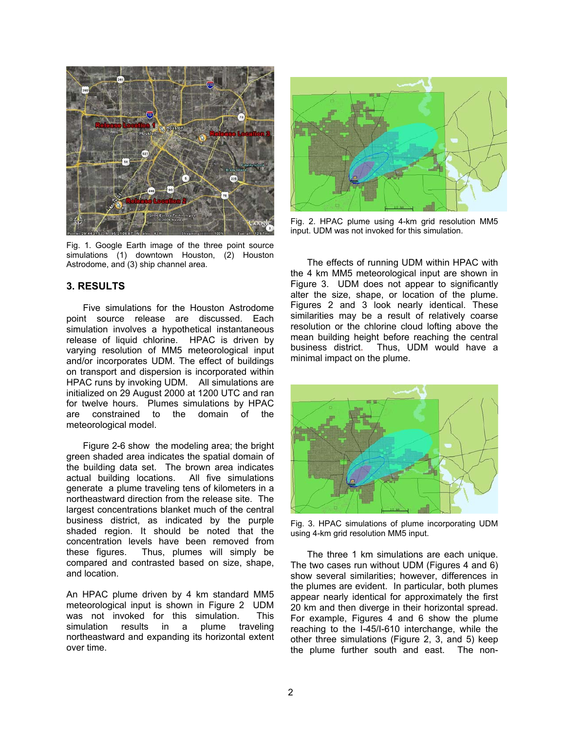

Fig. 1. Google Earth image of the three point source simulations (1) downtown Houston, (2) Houston Astrodome, and (3) ship channel area.

### **3. RESULTS**

Five simulations for the Houston Astrodome point source release are discussed. Each simulation involves a hypothetical instantaneous release of liquid chlorine. HPAC is driven by varying resolution of MM5 meteorological input and/or incorporates UDM. The effect of buildings on transport and dispersion is incorporated within HPAC runs by invoking UDM. All simulations are initialized on 29 August 2000 at 1200 UTC and ran for twelve hours. Plumes simulations by HPAC are constrained to the domain of the meteorological model.

Figure 2-6 show the modeling area; the bright green shaded area indicates the spatial domain of the building data set. The brown area indicates actual building locations. All five simulations generate a plume traveling tens of kilometers in a northeastward direction from the release site. The largest concentrations blanket much of the central business district, as indicated by the purple shaded region. It should be noted that the concentration levels have been removed from these figures. Thus, plumes will simply be compared and contrasted based on size, shape, and location.

An HPAC plume driven by 4 km standard MM5 meteorological input is shown in Figure 2 UDM was not invoked for this simulation. This simulation results in a plume traveling northeastward and expanding its horizontal extent over time.



Fig. 2. HPAC plume using 4-km grid resolution MM5 input. UDM was not invoked for this simulation.

The effects of running UDM within HPAC with the 4 km MM5 meteorological input are shown in Figure 3. UDM does not appear to significantly alter the size, shape, or location of the plume. Figures 2 and 3 look nearly identical. These similarities may be a result of relatively coarse resolution or the chlorine cloud lofting above the mean building height before reaching the central business district. Thus, UDM would have a minimal impact on the plume.



Fig. 3. HPAC simulations of plume incorporating UDM using 4-km grid resolution MM5 input.

The three 1 km simulations are each unique. The two cases run without UDM (Figures 4 and 6) show several similarities; however, differences in the plumes are evident. In particular, both plumes appear nearly identical for approximately the first 20 km and then diverge in their horizontal spread. For example, Figures 4 and 6 show the plume reaching to the I-45/I-610 interchange, while the other three simulations (Figure 2, 3, and 5) keep the plume further south and east. The non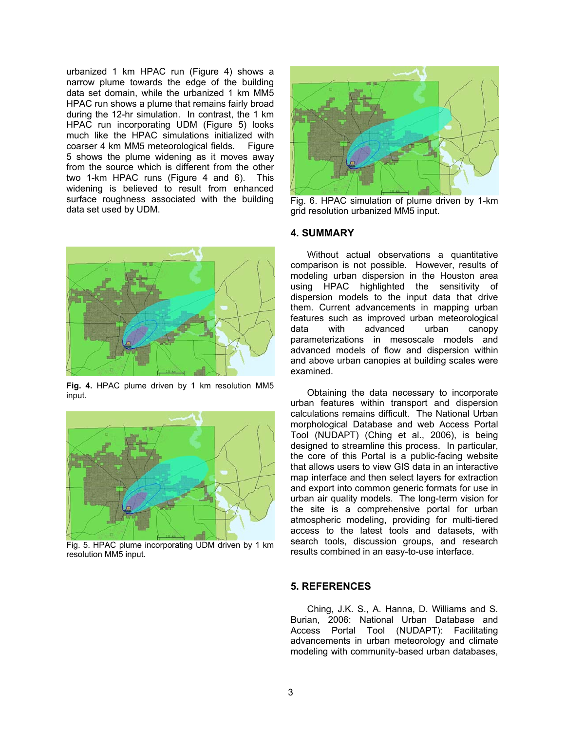urbanized 1 km HPAC run (Figure 4) shows a narrow plume towards the edge of the building data set domain, while the urbanized 1 km MM5 HPAC run shows a plume that remains fairly broad during the 12-hr simulation. In contrast, the 1 km HPAC run incorporating UDM (Figure 5) looks much like the HPAC simulations initialized with coarser 4 km MM5 meteorological fields. Figure 5 shows the plume widening as it moves away from the source which is different from the other two 1-km HPAC runs (Figure 4 and 6). This widening is believed to result from enhanced surface roughness associated with the building data set used by UDM.



**Fig. 4.** HPAC plume driven by 1 km resolution MM5 input.



Fig. 5. HPAC plume incorporating UDM driven by 1 km resolution MM5 input.



Fig. 6. HPAC simulation of plume driven by 1-km grid resolution urbanized MM5 input.

#### **4. SUMMARY**

Without actual observations a quantitative comparison is not possible. However, results of modeling urban dispersion in the Houston area using HPAC highlighted the sensitivity of dispersion models to the input data that drive them. Current advancements in mapping urban features such as improved urban meteorological data with advanced urban canopy parameterizations in mesoscale models and advanced models of flow and dispersion within and above urban canopies at building scales were examined.

Obtaining the data necessary to incorporate urban features within transport and dispersion calculations remains difficult. The National Urban morphological Database and web Access Portal Tool (NUDAPT) (Ching et al., 2006), is being designed to streamline this process. In particular, the core of this Portal is a public-facing website that allows users to view GIS data in an interactive map interface and then select layers for extraction and export into common generic formats for use in urban air quality models. The long-term vision for the site is a comprehensive portal for urban atmospheric modeling, providing for multi-tiered access to the latest tools and datasets, with search tools, discussion groups, and research results combined in an easy-to-use interface.

### **5. REFERENCES**

Ching, J.K. S., A. Hanna, D. Williams and S. Burian, 2006: National Urban Database and Access Portal Tool (NUDAPT): Facilitating advancements in urban meteorology and climate modeling with community-based urban databases,